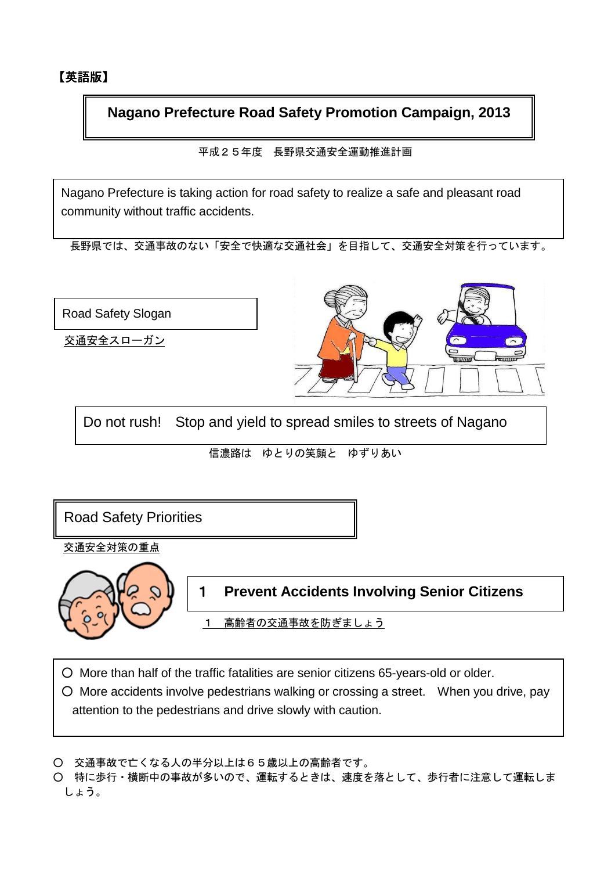**Nagano Prefecture Road Safety Promotion Campaign, 2013** 

平成25年度 長野県交通安全運動推進計画

Nagano Prefecture is taking action for road safety to realize a safe and pleasant road community without traffic accidents.

長野県では、交通事故のない「安全で快適な交通社会」を目指して、交通安全対策を行っています。



Do not rush! Stop and yield to spread smiles to streets of Nagano

信濃路は ゆとりの笑顔と ゆずりあい

Road Safety Priorities

交通安全対策の重点

II

交通安全スローガン

Road Safety Slogan



1 **Prevent Accidents Involving Senior Citizens** 

1 高齢者の交通事故を防ぎましょう

○ More than half of the traffic fatalities are senior citizens 65-years-old or older.

○ More accidents involve pedestrians walking or crossing a street. When you drive, pay attention to the pedestrians and drive slowly with caution.

○ 交通事故で亡くなる人の半分以上は65歳以上の高齢者です。

○ 特に歩行・横断中の事故が多いので、運転するときは、速度を落として、歩行者に注意して運転しま しょう。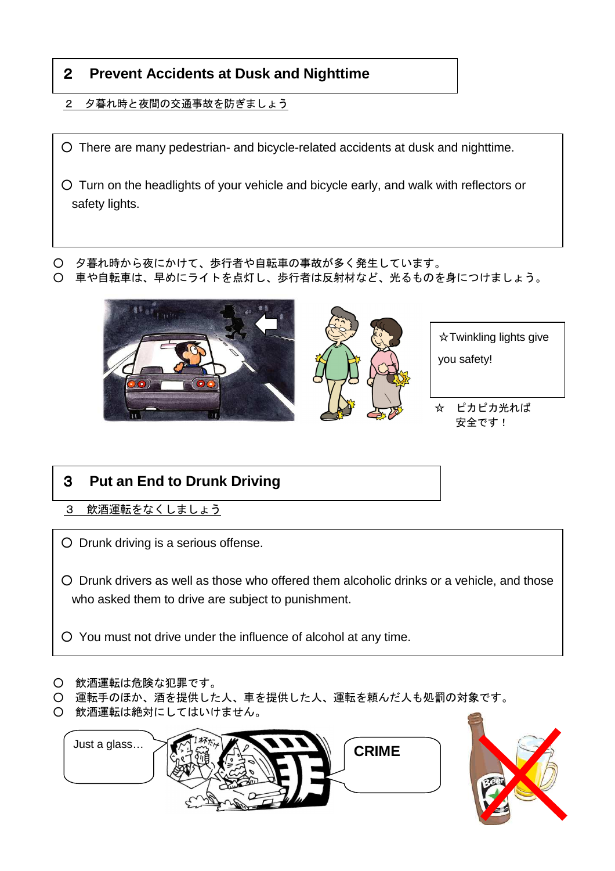## 2 **Prevent Accidents at Dusk and Nighttime**

- 2 夕暮れ時と夜間の交通事故を防ぎましょう
- There are many pedestrian- and bicycle-related accidents at dusk and nighttime.
- Turn on the headlights of your vehicle and bicycle early, and walk with reflectors or safety lights.

○ 夕暮れ時から夜にかけて、歩行者や自転車の事故が多く発生しています。 ○ 車や自転車は、早めにライトを点灯し、歩行者は反射材など、光るものを身につけましょう。



- 3 **Put an End to Drunk Driving**
- 3 飲酒運転をなくしましょう
- Drunk driving is a serious offense.

○ Drunk drivers as well as those who offered them alcoholic drinks or a vehicle, and those who asked them to drive are subject to punishment.

- You must not drive under the influence of alcohol at any time.
- 飲酒運転は危険な犯罪です。
- 運転手のほか、酒を提供した人、車を提供した人、運転を頼んだ人も処罰の対象です。
- 飲酒運転は絶対にしてはいけません。